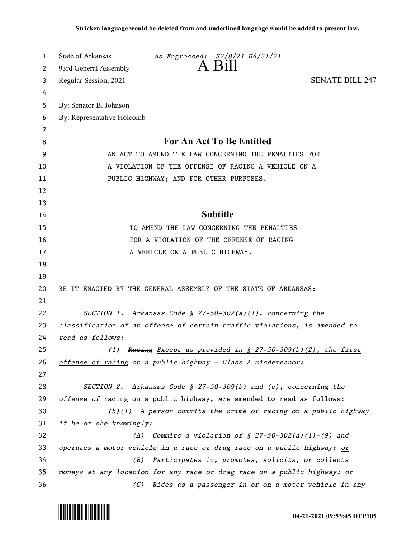| 1  | State of Arkansas<br>As Engrossed: S2/8/21 H4/21/21                       |
|----|---------------------------------------------------------------------------|
| 2  | $A$ Bill<br>93rd General Assembly                                         |
| 3  | <b>SENATE BILL 247</b><br>Regular Session, 2021                           |
| 4  |                                                                           |
| 5  | By: Senator B. Johnson                                                    |
| 6  | By: Representative Holcomb                                                |
| 7  |                                                                           |
| 8  | <b>For An Act To Be Entitled</b>                                          |
| 9  | AN ACT TO AMEND THE LAW CONCERNING THE PENALTIES FOR                      |
| 10 | A VIOLATION OF THE OFFENSE OF RACING A VEHICLE ON A                       |
| 11 | PUBLIC HIGHWAY; AND FOR OTHER PURPOSES.                                   |
| 12 |                                                                           |
| 13 |                                                                           |
| 14 | <b>Subtitle</b>                                                           |
| 15 | TO AMEND THE LAW CONCERNING THE PENALTIES                                 |
| 16 | FOR A VIOLATION OF THE OFFENSE OF RACING                                  |
| 17 | A VEHICLE ON A PUBLIC HIGHWAY.                                            |
| 18 |                                                                           |
| 19 |                                                                           |
| 20 | BE IT ENACTED BY THE GENERAL ASSEMBLY OF THE STATE OF ARKANSAS:           |
| 21 |                                                                           |
| 22 | SECTION 1. Arkansas Code § 27-50-302(a)(1), concerning the                |
| 23 | classification of an offense of certain traffic violations, is amended to |
| 24 | read as follows:                                                          |
| 25 | Raeing Except as provided in § 27-50-309(b)(2), the first<br>(1)          |
| 26 | offense of racing on a public highway - Class A misdemeanor;              |
| 27 |                                                                           |
| 28 | SECTION 2. Arkansas Code § 27-50-309(b) and (c), concerning the           |
| 29 | offense of racing on a public highway, are amended to read as follows:    |
| 30 | $(b)(1)$ A person commits the crime of racing on a public highway         |
| 31 | if he or she knowingly:                                                   |
| 32 | Commits a violation of $\S$ 27-50-302(a)(1)-(9) and<br>(A)                |
| 33 | operates a motor vehicle in a race or drag race on a public highway; or   |
| 34 | Participates in, promotes, solicits, or collects<br>(B)                   |
| 35 | moneys at any location for any race or drag race on a public highway+ or  |
| 36 | (C) Rides as a passenger in or on a motor vehicle in any                  |